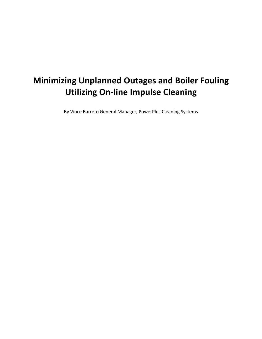# **Minimizing Unplanned Outages and Boiler Fouling Utilizing On-line Impulse Cleaning**

By Vince Barreto General Manager, PowerPlus Cleaning Systems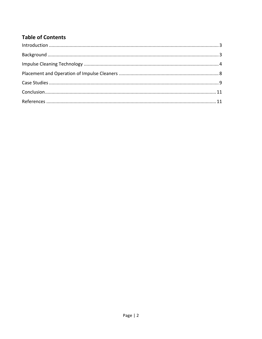# **Table of Contents**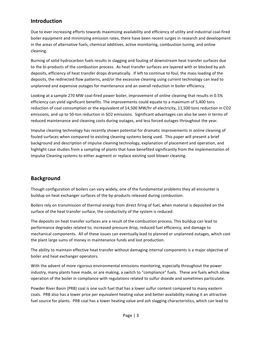## **Introduction**

Due to ever increasing efforts towards maximizing availability and efficiency of utility and industrial coal-fired boiler equipment and minimizing emission rates, there have been recent surges in research and development in the areas of alternative fuels, chemical additives, active monitoring, combustion tuning, and online cleaning. 

Burning of solid hydrocarbon fuels results in slagging and fouling of downstream heat transfer surfaces due to the bi-products of the combustion process. As heat transfer surfaces are layered with or blocked by ash deposits, efficiency of heat transfer drops dramatically. If left to continue to foul, the mass loading of the deposits, the redirected flow patterns, and/or the excessive cleaning using current technology can lead to unplanned and expensive outages for maintenance and an overall reduction in boiler efficiency.

Looking at a sample 270 MW coal-fired power boiler, improvement of online cleaning that results in 0.5% efficiency can yield significant benefits. The improvements could equate to a maximum of 5,400 tons reduction of coal consumption or the equivalent of 14,500 MW/hr of electricity, 11,500 tons reduction in CO2 emissions, and up to 50-ton reduction in SO2 emissions. Significant advantages can also be seen in terms of reduced maintenance and cleaning costs during outages, and less forced outages throughout the year.

Impulse cleaning technology has recently shown potential for dramatic improvements in online cleaning of fouled surfaces when compared to existing cleaning systems being used. This paper will present a brief background and description of impulse cleaning technology, explanation of placement and operation, and highlight case studies from a sampling of plants that have benefited significantly from the implementation of Impulse Cleaning systems to either augment or replace existing soot blower cleaning.

# **Background**

Though configuration of boilers can vary widely, one of the fundamental problems they all encounter is buildup on heat exchanger surfaces of the by-products released during combustion.

Boilers rely on transmission of thermal energy from direct firing of fuel, when material is deposited on the surface of the heat transfer surface, the conductivity of the system is reduced.

The deposits on heat transfer surfaces are a result of the combustion process. This buildup can lead to performance degrades related to; increased pressure drop, reduced fuel efficiency, and damage to mechanical components. All of these issues can eventually lead to planned or unplanned outages, which cost the plant large sums of money in maintenance funds and lost production.

The ability to maintain effective heat transfer without damaging internal components is a major objective of boiler and heat exchanger operators.

With the advent of more rigorous environmental emissions monitoring, especially throughout the power industry, many plants have made, or are making, a switch to "compliance" fuels. These are fuels which allow operation of the boiler in compliance with regulations related to sulfur dioxide and sometimes particulate.

Powder River Basin (PRB) coal is one such fuel that has a lower sulfur content compared to many eastern coals. PRB also has a lower price per equivalent heating value and better availability making it an attractive fuel source for plants. PRB coal has a lower heating value and ash slagging characteristics, which can lead to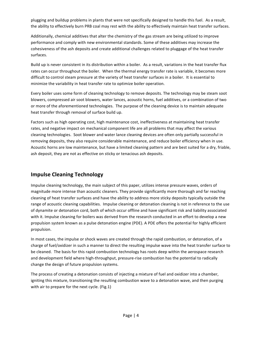plugging and buildup problems in plants that were not specifically designed to handle this fuel. As a result, the ability to effectively burn PRB coal may rest with the ability to effectively maintain heat transfer surfaces.

Additionally, chemical additives that alter the chemistry of the gas stream are being utilized to improve performance and comply with new environmental standards. Some of these additives may increase the cohesiveness of the ash deposits and create additional challenges related to pluggage of the heat transfer surfaces. 

Build up is never consistent in its distribution within a boiler. As a result, variations in the heat transfer flux rates can occur throughout the boiler. When the thermal energy transfer rate is variable, it becomes more difficult to control steam pressure at the variety of heat transfer surfaces in a boiler. It is essential to minimize the variability in heat transfer rate to optimize boiler operation.

Every boiler uses some form of cleaning technology to remove deposits. The technology may be steam soot blowers, compressed air soot blowers, water lances, acoustic horns, fuel additives, or a combination of two or more of the aforementioned technologies. The purpose of the cleaning device is to maintain adequate heat transfer through removal of surface build up.

Factors such as high operating cost, high maintenance cost, ineffectiveness at maintaining heat transfer rates, and negative impact on mechanical component life are all problems that may affect the various cleaning technologies. Soot blower and water lance cleaning devices are often only partially successful in removing deposits, they also require considerable maintenance, and reduce boiler efficiency when in use. Acoustic horns are low maintenance, but have a limited cleaning pattern and are best suited for a dry, friable, ash deposit, they are not as effective on sticky or tenacious ash deposits.

## **Impulse Cleaning Technology**

Impulse cleaning technology, the main subject of this paper, utilizes intense pressure waves, orders of magnitude more intense than acoustic cleaners. They provide significantly more thorough and far reaching cleaning of heat transfer surfaces and have the ability to address more sticky deposits typically outside the range of acoustic cleaning capabilities. Impulse cleaning or detonation cleaning is not in reference to the use of dynamite or detonation cord, both of which occur offline and have significant risk and liability associated with it. Impulse cleaning for boilers was derived from the research conducted in an effort to develop a new propulsion system known as a pulse detonation engine (PDE). A PDE offers the potential for highly efficient propulsion.

In most cases, the impulse or shock waves are created through the rapid combustion, or detonation, of a charge of fuel/oxidizer in such a manner to direct the resulting impulse wave into the heat transfer surface to be cleaned. The basis for this rapid combustion technology has roots deep within the aerospace research and development field where high-throughput, pressure-rise combustion has the potential to radically change the design of future propulsion systems.

The process of creating a detonation consists of injecting a mixture of fuel and oxidizer into a chamber, igniting this mixture, transitioning the resulting combustion wave to a detonation wave, and then purging with air to prepare for the next cycle. (Fig.1)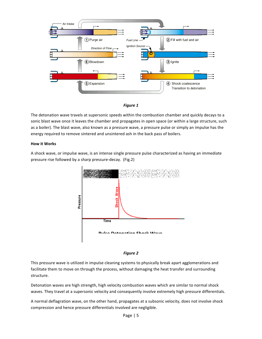



The detonation wave travels at supersonic speeds within the combustion chamber and quickly decays to a sonic blast wave once it leaves the chamber and propagates in open space (or within a large structure, such as a boiler). The blast wave, also known as a pressure wave, a pressure pulse or simply an impulse has the energy required to remove sintered and unsintered ash in the back pass of boilers.

#### **How it Works**

A shock wave, or impulse wave, is an intense single pressure pulse characterized as having an immediate pressure rise followed by a sharp pressure-decay. (Fig.2)





This pressure wave is utilized in impulse cleaning systems to physically break apart agglomerations and facilitate them to move on through the process, without damaging the heat transfer and surrounding structure.

Detonation waves are high strength, high velocity combustion waves which are similar to normal shock waves. They travel at a supersonic velocity and consequently involve extremely high pressure differentials.

A normal deflagration wave, on the other hand, propagates at a subsonic velocity, does not involve shock compression and hence pressure differentials involved are negligible.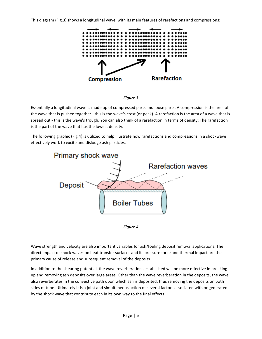This diagram (Fig.3) shows a longitudinal wave, with its main features of rarefactions and compressions:





Essentially a longitudinal wave is made up of compressed parts and loose parts. A compression is the area of the wave that is pushed together - this is the wave's crest (or peak). A rarefaction is the area of a wave that is spread out - this is the wave's trough. You can also think of a rarefaction in terms of density: The rarefaction is the part of the wave that has the lowest density.

The following graphic (Fig.4) is utilized to help illustrate how rarefactions and compressions in a shockwave effectively work to excite and dislodge ash particles.





Wave strength and velocity are also important variables for ash/fouling deposit removal applications. The direct impact of shock waves on heat transfer surfaces and its pressure force and thermal impact are the primary cause of release and subsequent removal of the deposits.

In addition to the shearing potential, the wave reverberations established will be more effective in breaking up and removing ash deposits over large areas. Other than the wave reverberation in the deposits, the wave also reverberates in the convective path upon which ash is deposited, thus removing the deposits on both sides of tube. Ultimately it is a joint and simultaneous action of several factors associated with or generated by the shock wave that contribute each in its own way to the final effects.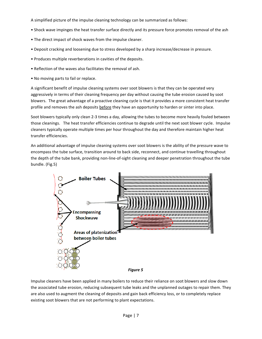A simplified picture of the impulse cleaning technology can be summarized as follows:

- Shock wave impinges the heat transfer surface directly and its pressure force promotes removal of the ash
- The direct impact of shock waves from the impulse cleaner.
- Deposit cracking and loosening due to stress developed by a sharp increase/decrease in pressure.
- Produces multiple reverberations in cavities of the deposits.
- Reflection of the waves also facilitates the removal of ash.
- No moving parts to fail or replace.

A significant benefit of impulse cleaning systems over soot blowers is that they can be operated very aggressively in terms of their cleaning frequency per day without causing the tube erosion caused by soot blowers. The great advantage of a proactive cleaning cycle is that it provides a more consistent heat transfer profile and removes the ash deposits before they have an opportunity to harden or sinter into place.

Soot blowers typically only clean 2-3 times a day, allowing the tubes to become more heavily fouled between those cleanings. The heat transfer efficiencies continue to degrade until the next soot blower cycle. Impulse cleaners typically operate multiple times per hour throughout the day and therefore maintain higher heat transfer efficiencies.

An additional advantage of impulse cleaning systems over soot blowers is the ability of the pressure wave to encompass the tube surface, transition around to back side, reconnect, and continue travelling throughout the depth of the tube bank, providing non-line-of-sight cleaning and deeper penetration throughout the tube bundle. (Fig.5)



Impulse cleaners have been applied in many boilers to reduce their reliance on soot blowers and slow down the associated tube erosion, reducing subsequent tube leaks and the unplanned outages to repair them. They are also used to augment the cleaning of deposits and gain back efficiency loss, or to completely replace existing soot blowers that are not performing to plant expectations.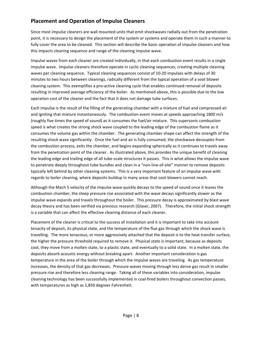# **Placement and Operation of Impulse Cleaners**

Since most impulse cleaners are wall mounted units that emit shockwaves radially out from the penetration point, it is necessary to design the placement of the system or systems and operate them in such a manner to fully cover the area to be cleaned. This section will describe the basic operation of impulse cleaners and how this impacts cleaning sequence and range of the cleaning impulse wave.

Impulse waves from each cleaner are created individually, in that each combustion event results in a single impulse wave. Impulse cleaners therefore operate in cyclic cleaning sequences, creating multiple cleaning waves per cleaning sequence. Typical cleaning sequences consist of 10-20 impulses with delays of 30 minutes to two hours between cleanings, radically different from the typical operation of a soot blower cleaning system. This exemplifies a pro-active cleaning cycle that enables continued removal of deposits resulting in improved average efficiency of the boiler. As mentioned above, this is possible due to the low operation cost of the cleaner and the fact that it does not damage tube surfaces.

Each impulse is the result of the filling of the generating chamber with a mixture of fuel and compressed air and igniting that mixture instantaneously. The combustion event moves at speeds approaching 1800 m/s (roughly five times the speed of sound) as it consumes the fuel/air mixture. This supersonic combustion speed is what creates the strong shock wave coupled to the leading edge of the combustion flame as it consumes the volume gas within the chamber. The generating chamber shape can affect the strength of the resulting shock wave significantly. Once the fuel and air is fully consumed, the shockwave decouples from the combustion process, exits the chamber, and begins expanding spherically as it continues to travels away from the penetration point of the cleaner. As illustrated above, this provides the unique benefit of cleaning the leading edge and trailing edge of all tube-scale structures it passes. This is what allows the impulse wave to penetrate deeply throughout tube bundles and clean in a "non-line-of-site" manner to remove deposits typically left behind by other cleaning systems. This is a very important feature of an impulse wave with regards to boiler cleaning, where deposits buildup in many areas that soot blowers cannot reach.

Although the Mach 5 velocity of the impulse wave quickly decays to the speed of sound once it leaves the combustion chamber, the steep pressure rise associated with the wave decays significantly slower as the impulse wave expands and travels throughout the boiler. This pressure decay is approximated by blast wave decay theory and has been verified via previous research (Glaser, 2007). Therefore, the initial shock strength is a variable that can affect the effective cleaning distance of each cleaner.

Placement of the cleaner is critical to the success of installation and it is important to take into account tenacity of deposit, its physical state, and the temperature of the flue gas through which the shock wave is travelling. The more tenacious, or more aggressively attached that the deposit is to the heat transfer surface, the higher the pressure threshold required to remove it. Physical state is important, because as deposits cool, they move from a molten state, to a plastic state, and eventually to a solid state. In a molten state, the deposits absorb acoustic energy without breaking apart. Another important consideration is gas temperature in the area of the boiler through which the impulse waves are traveling. As gas temperature increases, the density of that gas decreases. Pressure waves moving through less dense gas result in smaller pressure rise and therefore less cleaning range. Taking all of these variables into consideration, impulse cleaning technology has been successfully implemented in coal-fired boilers throughout convection passes, with temperatures as high as 1,850 degrees Fahrenheit.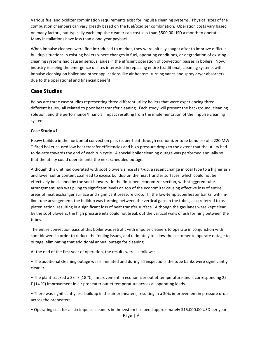Various fuel and oxidizer combination requirements exist for impulse cleaning systems. Physical sizes of the combustion chambers can vary greatly based on the fuel/oxidizer combination. Operation costs vary based on many factors, but typically each impulse cleaner can cost less than \$500.00 USD a month to operate. Many installations have less than a one-year payback.

When impulse cleaners were first introduced to market, they were initially sought after to improve difficult buildup situations in existing boilers where changes in fuel, operating conditions, or degradation of existing cleaning systems had caused serious issues in the efficient operation of convection passes in boilers. Now, industry is seeing the emergence of sites interested in replacing entire (traditional) cleaning systems with impulse cleaning on boiler and other applications like air heaters, turning vanes and spray dryer absorbers due to the operational and financial benefit.

### **Case Studies**

Below are three case studies representing three different utility boilers that were experiencing three different issues, all related to poor heat transfer cleaning. Each study will present the background, cleaning solution, and the performance/financial impact resulting from the implementation of the impulse cleaning system.

#### **Case Study #1**

Heavy buildup in the horizontal convection pass (super-heat through economizer tube bundles) of a 220 MW T-fired boiler caused low heat transfer efficiencies and high pressure drops to the extent that the utility had to de-rate towards the end of each run cycle. A special boiler cleaning outage was performed annually so that the utility could operate until the next scheduled outage.

Although this unit had operated with soot blowers since start-up, a recent change in coal type to a higher ash and lower sulfur content coal lead to excess buildup on the heat transfer surfaces, which could not be effectively be cleaned by the soot blowers. In the fin-tubed economizer section, with staggered tube arrangement, ash was piling to significant levels on top of the economizer causing effective loss of entire areas of heat exchanger surface and significant pressure drop. In the low-temp superheater banks, with inline tube arrangement, the buildup was forming between the vertical gaps in the tubes, also referred to as platenization, resulting in a significant loss of heat transfer surface. Although the gas lanes were kept clear by the soot blowers, the high pressure jets could not break out the vertical walls of ash forming between the tubes.

The entire convection pass of this boiler was retrofit with impulse cleaners to operate in conjunction with soot blowers in order to reduce the fouling issues, and ultimately to allow the customer to operate outage to outage, eliminating that additional annual outage for cleaning.

At the end of the first year of operation, the results were as follows:

• The additional cleaning outage was eliminated and during all inspections the tube banks were significantly cleaner. 

• The plant tracked a 33° F (18 °C) improvement in economizer outlet temperature and a corresponding 25° F (14 °C) improvement in air preheater outlet temperature across all operating loads.

• There was significantly less buildup in the air preheaters, resulting in a 30% improvement in pressure drop across the preheaters.

• Operating cost for all six impulse cleaners in the system has been approximately \$15,000.00 USD per year.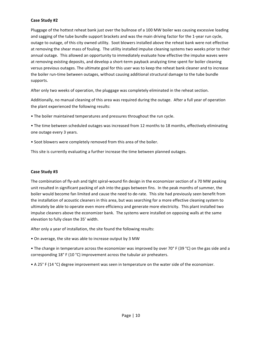#### **Case Study #2**

Pluggage of the hottest reheat bank just over the bullnose of a 100 MW boiler was causing excessive loading and sagging of the tube bundle support brackets and was the main driving factor for the 1-year run cycle, outage to outage, of this city owned utility. Soot blowers installed above the reheat bank were not effective at removing the shear mass of fouling. The utility installed impulse cleaning systems two weeks prior to their annual outage. This allowed an opportunity to immediately evaluate how effective the impulse waves were at removing existing deposits, and develop a short-term payback analyzing time spent for boiler cleaning versus previous outages. The ultimate goal for this user was to keep the reheat bank cleaner and to increase the boiler run-time between outages, without causing additional structural damage to the tube bundle supports.

After only two weeks of operation, the pluggage was completely eliminated in the reheat section.

Additionally, no manual cleaning of this area was required during the outage. After a full year of operation the plant experienced the following results:

• The boiler maintained temperatures and pressures throughout the run cycle.

• The time between scheduled outages was increased from 12 months to 18 months, effectively eliminating one outage every 3 years.

• Soot blowers were completely removed from this area of the boiler.

This site is currently evaluating a further increase the time between planned outages.

#### **Case Study #3**

The combination of fly-ash and tight spiral-wound fin design in the economizer section of a 70 MW peaking unit resulted in significant packing of ash into the gaps between fins. In the peak months of summer, the boiler would become fan limited and cause the need to de-rate. This site had previously seen benefit from the installation of acoustic cleaners in this area, but was searching for a more effective cleaning system to ultimately be able to operate even more efficiency and generate more electricity. This plant installed two impulse cleaners above the economizer bank. The systems were installed on opposing walls at the same elevation to fully clean the 35' width.

After only a year of installation, the site found the following results:

• On average, the site was able to increase output by 3 MW

• The change in temperature across the economizer was improved by over 70° F (39 °C) on the gas side and a corresponding  $18^{\circ}$  F (10 °C) improvement across the tubular air preheaters.

• A 25° F (14 °C) degree improvement was seen in temperature on the water side of the economizer.